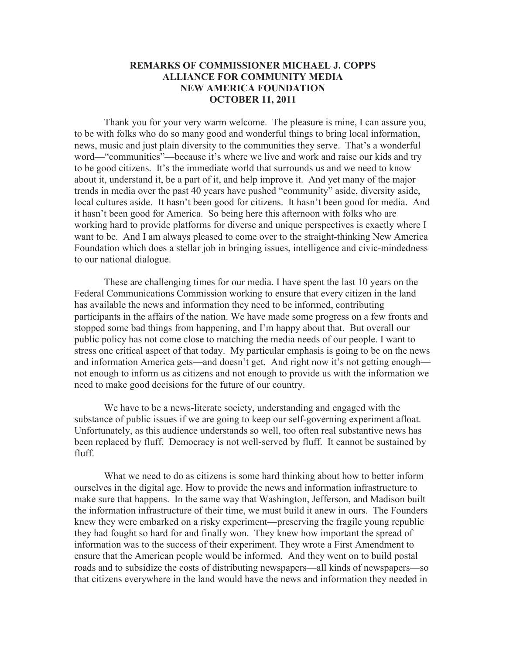## **REMARKS OF COMMISSIONER MICHAEL J. COPPS ALLIANCE FOR COMMUNITY MEDIA NEW AMERICA FOUNDATION OCTOBER 11, 2011**

Thank you for your very warm welcome. The pleasure is mine, I can assure you, to be with folks who do so many good and wonderful things to bring local information, news, music and just plain diversity to the communities they serve. That's a wonderful word—"communities"—because it's where we live and work and raise our kids and try to be good citizens. It's the immediate world that surrounds us and we need to know about it, understand it, be a part of it, and help improve it. And yet many of the major trends in media over the past 40 years have pushed "community" aside, diversity aside, local cultures aside. It hasn't been good for citizens. It hasn't been good for media. And it hasn't been good for America. So being here this afternoon with folks who are working hard to provide platforms for diverse and unique perspectives is exactly where I want to be. And I am always pleased to come over to the straight-thinking New America Foundation which does a stellar job in bringing issues, intelligence and civic-mindedness to our national dialogue.

These are challenging times for our media. I have spent the last 10 years on the Federal Communications Commission working to ensure that every citizen in the land has available the news and information they need to be informed, contributing participants in the affairs of the nation. We have made some progress on a few fronts and stopped some bad things from happening, and I'm happy about that. But overall our public policy has not come close to matching the media needs of our people. I want to stress one critical aspect of that today. My particular emphasis is going to be on the news and information America gets—and doesn't get. And right now it's not getting enough not enough to inform us as citizens and not enough to provide us with the information we need to make good decisions for the future of our country.

We have to be a news-literate society, understanding and engaged with the substance of public issues if we are going to keep our self-governing experiment afloat. Unfortunately, as this audience understands so well, too often real substantive news has been replaced by fluff. Democracy is not well-served by fluff. It cannot be sustained by fluff.

What we need to do as citizens is some hard thinking about how to better inform ourselves in the digital age. How to provide the news and information infrastructure to make sure that happens. In the same way that Washington, Jefferson, and Madison built the information infrastructure of their time, we must build it anew in ours. The Founders knew they were embarked on a risky experiment—preserving the fragile young republic they had fought so hard for and finally won. They knew how important the spread of information was to the success of their experiment. They wrote a First Amendment to ensure that the American people would be informed. And they went on to build postal roads and to subsidize the costs of distributing newspapers—all kinds of newspapers—so that citizens everywhere in the land would have the news and information they needed in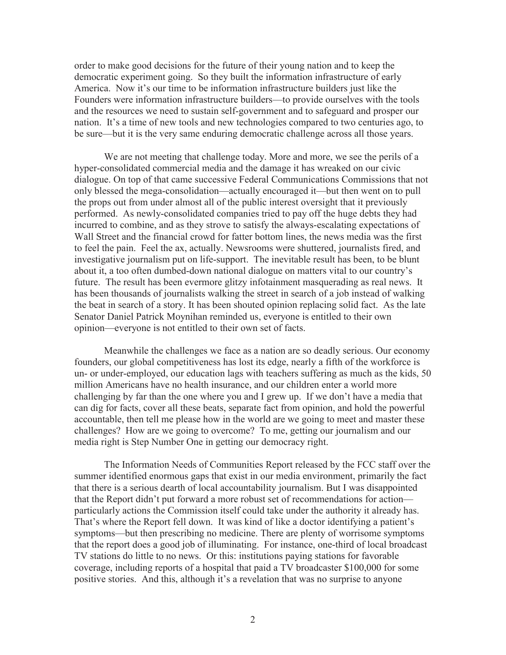order to make good decisions for the future of their young nation and to keep the democratic experiment going. So they built the information infrastructure of early America. Now it's our time to be information infrastructure builders just like the Founders were information infrastructure builders—to provide ourselves with the tools and the resources we need to sustain self-government and to safeguard and prosper our nation. It's a time of new tools and new technologies compared to two centuries ago, to be sure—but it is the very same enduring democratic challenge across all those years.

We are not meeting that challenge today. More and more, we see the perils of a hyper-consolidated commercial media and the damage it has wreaked on our civic dialogue. On top of that came successive Federal Communications Commissions that not only blessed the mega-consolidation—actually encouraged it—but then went on to pull the props out from under almost all of the public interest oversight that it previously performed. As newly-consolidated companies tried to pay off the huge debts they had incurred to combine, and as they strove to satisfy the always-escalating expectations of Wall Street and the financial crowd for fatter bottom lines, the news media was the first to feel the pain. Feel the ax, actually. Newsrooms were shuttered, journalists fired, and investigative journalism put on life-support. The inevitable result has been, to be blunt about it, a too often dumbed-down national dialogue on matters vital to our country's future. The result has been evermore glitzy infotainment masquerading as real news. It has been thousands of journalists walking the street in search of a job instead of walking the beat in search of a story. It has been shouted opinion replacing solid fact. As the late Senator Daniel Patrick Moynihan reminded us, everyone is entitled to their own opinion—everyone is not entitled to their own set of facts.

Meanwhile the challenges we face as a nation are so deadly serious. Our economy founders, our global competitiveness has lost its edge, nearly a fifth of the workforce is un- or under-employed, our education lags with teachers suffering as much as the kids, 50 million Americans have no health insurance, and our children enter a world more challenging by far than the one where you and I grew up. If we don't have a media that can dig for facts, cover all these beats, separate fact from opinion, and hold the powerful accountable, then tell me please how in the world are we going to meet and master these challenges? How are we going to overcome? To me, getting our journalism and our media right is Step Number One in getting our democracy right.

The Information Needs of Communities Report released by the FCC staff over the summer identified enormous gaps that exist in our media environment, primarily the fact that there is a serious dearth of local accountability journalism. But I was disappointed that the Report didn't put forward a more robust set of recommendations for action particularly actions the Commission itself could take under the authority it already has. That's where the Report fell down. It was kind of like a doctor identifying a patient's symptoms—but then prescribing no medicine. There are plenty of worrisome symptoms that the report does a good job of illuminating. For instance, one-third of local broadcast TV stations do little to no news. Or this: institutions paying stations for favorable coverage, including reports of a hospital that paid a TV broadcaster \$100,000 for some positive stories. And this, although it's a revelation that was no surprise to anyone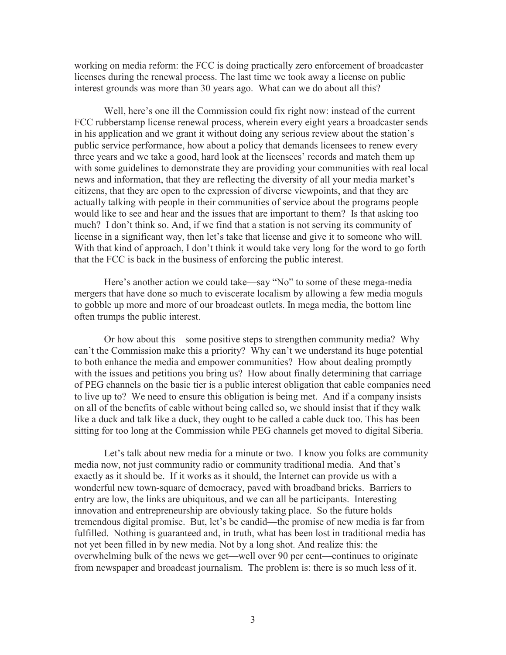working on media reform: the FCC is doing practically zero enforcement of broadcaster licenses during the renewal process. The last time we took away a license on public interest grounds was more than 30 years ago. What can we do about all this?

Well, here's one ill the Commission could fix right now: instead of the current FCC rubberstamp license renewal process, wherein every eight years a broadcaster sends in his application and we grant it without doing any serious review about the station's public service performance, how about a policy that demands licensees to renew every three years and we take a good, hard look at the licensees' records and match them up with some guidelines to demonstrate they are providing your communities with real local news and information, that they are reflecting the diversity of all your media market's citizens, that they are open to the expression of diverse viewpoints, and that they are actually talking with people in their communities of service about the programs people would like to see and hear and the issues that are important to them? Is that asking too much? I don't think so. And, if we find that a station is not serving its community of license in a significant way, then let's take that license and give it to someone who will. With that kind of approach, I don't think it would take very long for the word to go forth that the FCC is back in the business of enforcing the public interest.

Here's another action we could take—say "No" to some of these mega-media mergers that have done so much to eviscerate localism by allowing a few media moguls to gobble up more and more of our broadcast outlets. In mega media, the bottom line often trumps the public interest.

Or how about this—some positive steps to strengthen community media? Why can't the Commission make this a priority? Why can't we understand its huge potential to both enhance the media and empower communities? How about dealing promptly with the issues and petitions you bring us? How about finally determining that carriage of PEG channels on the basic tier is a public interest obligation that cable companies need to live up to? We need to ensure this obligation is being met. And if a company insists on all of the benefits of cable without being called so, we should insist that if they walk like a duck and talk like a duck, they ought to be called a cable duck too. This has been sitting for too long at the Commission while PEG channels get moved to digital Siberia.

Let's talk about new media for a minute or two. I know you folks are community media now, not just community radio or community traditional media. And that's exactly as it should be. If it works as it should, the Internet can provide us with a wonderful new town-square of democracy, paved with broadband bricks. Barriers to entry are low, the links are ubiquitous, and we can all be participants. Interesting innovation and entrepreneurship are obviously taking place. So the future holds tremendous digital promise. But, let's be candid—the promise of new media is far from fulfilled. Nothing is guaranteed and, in truth, what has been lost in traditional media has not yet been filled in by new media. Not by a long shot. And realize this: the overwhelming bulk of the news we get—well over 90 per cent—continues to originate from newspaper and broadcast journalism. The problem is: there is so much less of it.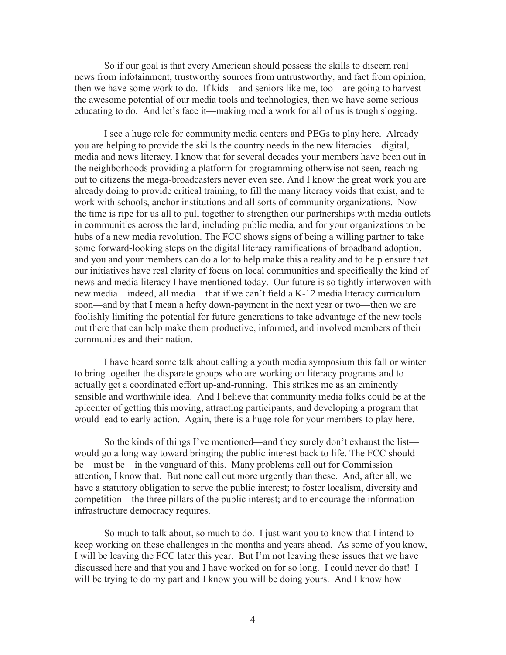So if our goal is that every American should possess the skills to discern real news from infotainment, trustworthy sources from untrustworthy, and fact from opinion, then we have some work to do. If kids—and seniors like me, too—are going to harvest the awesome potential of our media tools and technologies, then we have some serious educating to do. And let's face it—making media work for all of us is tough slogging.

I see a huge role for community media centers and PEGs to play here. Already you are helping to provide the skills the country needs in the new literacies—digital, media and news literacy. I know that for several decades your members have been out in the neighborhoods providing a platform for programming otherwise not seen, reaching out to citizens the mega-broadcasters never even see. And I know the great work you are already doing to provide critical training, to fill the many literacy voids that exist, and to work with schools, anchor institutions and all sorts of community organizations. Now the time is ripe for us all to pull together to strengthen our partnerships with media outlets in communities across the land, including public media, and for your organizations to be hubs of a new media revolution. The FCC shows signs of being a willing partner to take some forward-looking steps on the digital literacy ramifications of broadband adoption, and you and your members can do a lot to help make this a reality and to help ensure that our initiatives have real clarity of focus on local communities and specifically the kind of news and media literacy I have mentioned today. Our future is so tightly interwoven with new media—indeed, all media—that if we can't field a K-12 media literacy curriculum soon—and by that I mean a hefty down-payment in the next year or two—then we are foolishly limiting the potential for future generations to take advantage of the new tools out there that can help make them productive, informed, and involved members of their communities and their nation.

I have heard some talk about calling a youth media symposium this fall or winter to bring together the disparate groups who are working on literacy programs and to actually get a coordinated effort up-and-running. This strikes me as an eminently sensible and worthwhile idea. And I believe that community media folks could be at the epicenter of getting this moving, attracting participants, and developing a program that would lead to early action. Again, there is a huge role for your members to play here.

So the kinds of things I've mentioned—and they surely don't exhaust the list would go a long way toward bringing the public interest back to life. The FCC should be—must be—in the vanguard of this. Many problems call out for Commission attention, I know that. But none call out more urgently than these. And, after all, we have a statutory obligation to serve the public interest; to foster localism, diversity and competition—the three pillars of the public interest; and to encourage the information infrastructure democracy requires.

So much to talk about, so much to do. I just want you to know that I intend to keep working on these challenges in the months and years ahead. As some of you know, I will be leaving the FCC later this year. But I'm not leaving these issues that we have discussed here and that you and I have worked on for so long. I could never do that! I will be trying to do my part and I know you will be doing yours. And I know how